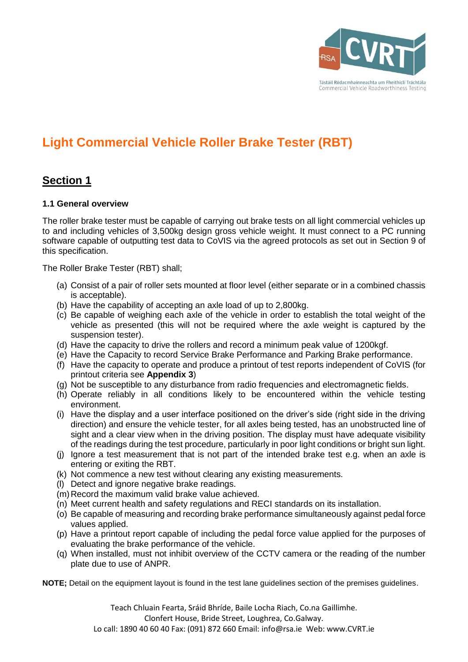

# **Light Commercial Vehicle Roller Brake Tester (RBT)**

## **Section 1**

#### **1.1 General overview**

The roller brake tester must be capable of carrying out brake tests on all light commercial vehicles up to and including vehicles of 3,500kg design gross vehicle weight. It must connect to a PC running software capable of outputting test data to CoVIS via the agreed protocols as set out in Section 9 of this specification.

The Roller Brake Tester (RBT) shall;

- (a) Consist of a pair of roller sets mounted at floor level (either separate or in a combined chassis is acceptable).
- (b) Have the capability of accepting an axle load of up to 2,800kg.
- (c) Be capable of weighing each axle of the vehicle in order to establish the total weight of the vehicle as presented (this will not be required where the axle weight is captured by the suspension tester).
- (d) Have the capacity to drive the rollers and record a minimum peak value of 1200kgf.
- (e) Have the Capacity to record Service Brake Performance and Parking Brake performance.
- (f) Have the capacity to operate and produce a printout of test reports independent of CoVIS (for printout criteria see **Appendix 3**)
- (g) Not be susceptible to any disturbance from radio frequencies and electromagnetic fields.
- (h) Operate reliably in all conditions likely to be encountered within the vehicle testing environment.
- (i) Have the display and a user interface positioned on the driver's side (right side in the driving direction) and ensure the vehicle tester, for all axles being tested, has an unobstructed line of sight and a clear view when in the driving position. The display must have adequate visibility of the readings during the test procedure, particularly in poor light conditions or bright sun light.
- (j) Ignore a test measurement that is not part of the intended brake test e.g. when an axle is entering or exiting the RBT.
- (k) Not commence a new test without clearing any existing measurements.
- (l) Detect and ignore negative brake readings.
- (m)Record the maximum valid brake value achieved.
- (n) Meet current health and safety regulations and RECI standards on its installation.
- (o) Be capable of measuring and recording brake performance simultaneously against pedal force values applied.
- (p) Have a printout report capable of including the pedal force value applied for the purposes of evaluating the brake performance of the vehicle.
- (q) When installed, must not inhibit overview of the CCTV camera or the reading of the number plate due to use of ANPR.

**NOTE;** Detail on the equipment layout is found in the test lane guidelines section of the premises guidelines.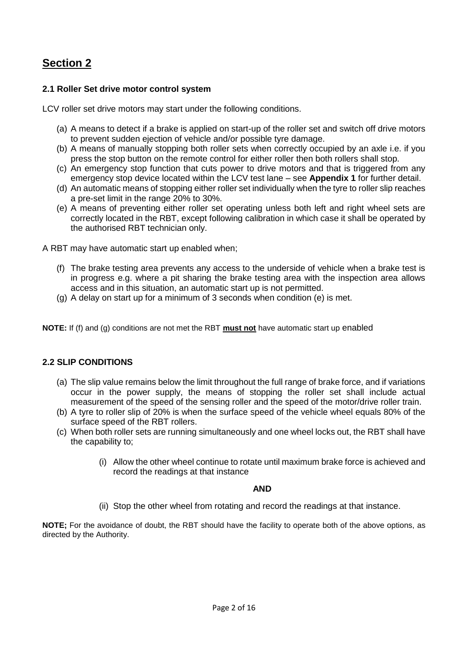## **2.1 Roller Set drive motor control system**

LCV roller set drive motors may start under the following conditions.

- (a) A means to detect if a brake is applied on start-up of the roller set and switch off drive motors to prevent sudden ejection of vehicle and/or possible tyre damage.
- (b) A means of manually stopping both roller sets when correctly occupied by an axle i.e. if you press the stop button on the remote control for either roller then both rollers shall stop.
- (c) An emergency stop function that cuts power to drive motors and that is triggered from any emergency stop device located within the LCV test lane – see **Appendix 1** for further detail.
- (d) An automatic means of stopping either roller set individually when the tyre to roller slip reaches a pre-set limit in the range 20% to 30%.
- (e) A means of preventing either roller set operating unless both left and right wheel sets are correctly located in the RBT, except following calibration in which case it shall be operated by the authorised RBT technician only.

A RBT may have automatic start up enabled when;

- (f) The brake testing area prevents any access to the underside of vehicle when a brake test is in progress e.g. where a pit sharing the brake testing area with the inspection area allows access and in this situation, an automatic start up is not permitted.
- (g) A delay on start up for a minimum of 3 seconds when condition (e) is met.

**NOTE:** If (f) and (g) conditions are not met the RBT **must not** have automatic start up enabled

### **2.2 SLIP CONDITIONS**

- (a) The slip value remains below the limit throughout the full range of brake force, and if variations occur in the power supply, the means of stopping the roller set shall include actual measurement of the speed of the sensing roller and the speed of the motor/drive roller train.
- (b) A tyre to roller slip of 20% is when the surface speed of the vehicle wheel equals 80% of the surface speed of the RBT rollers.
- (c) When both roller sets are running simultaneously and one wheel locks out, the RBT shall have the capability to;
	- (i) Allow the other wheel continue to rotate until maximum brake force is achieved and record the readings at that instance

#### **AND**

(ii) Stop the other wheel from rotating and record the readings at that instance.

**NOTE;** For the avoidance of doubt, the RBT should have the facility to operate both of the above options, as directed by the Authority.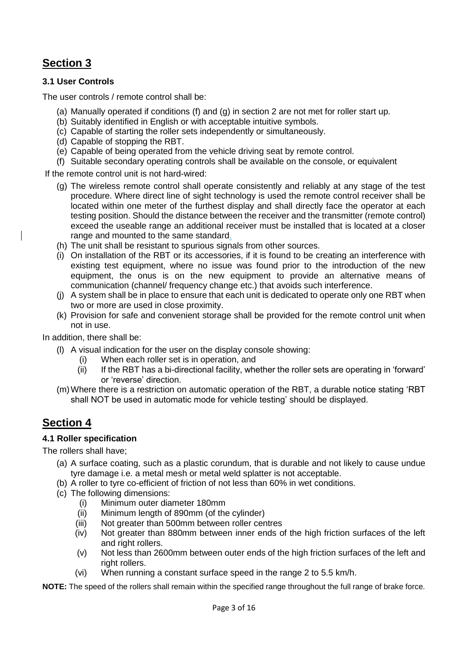### **3.1 User Controls**

The user controls / remote control shall be:

- (a) Manually operated if conditions (f) and (g) in section 2 are not met for roller start up.
- (b) Suitably identified in English or with acceptable intuitive symbols.
- (c) Capable of starting the roller sets independently or simultaneously.
- (d) Capable of stopping the RBT.
- (e) Capable of being operated from the vehicle driving seat by remote control.
- (f) Suitable secondary operating controls shall be available on the console, or equivalent

If the remote control unit is not hard-wired:

- (g) The wireless remote control shall operate consistently and reliably at any stage of the test procedure. Where direct line of sight technology is used the remote control receiver shall be located within one meter of the furthest display and shall directly face the operator at each testing position. Should the distance between the receiver and the transmitter (remote control) exceed the useable range an additional receiver must be installed that is located at a closer range and mounted to the same standard.
- (h) The unit shall be resistant to spurious signals from other sources.
- (i) On installation of the RBT or its accessories, if it is found to be creating an interference with existing test equipment, where no issue was found prior to the introduction of the new equipment, the onus is on the new equipment to provide an alternative means of communication (channel/ frequency change etc.) that avoids such interference.
- (j) A system shall be in place to ensure that each unit is dedicated to operate only one RBT when two or more are used in close proximity.
- (k) Provision for safe and convenient storage shall be provided for the remote control unit when not in use.

In addition, there shall be:

- (l) A visual indication for the user on the display console showing:
	- (i) When each roller set is in operation, and
	- (ii) If the RBT has a bi-directional facility, whether the roller sets are operating in 'forward' or 'reverse' direction.
- (m)Where there is a restriction on automatic operation of the RBT, a durable notice stating 'RBT shall NOT be used in automatic mode for vehicle testing' should be displayed.

## **Section 4**

### **4.1 Roller specification**

The rollers shall have;

- (a) A surface coating, such as a plastic corundum, that is durable and not likely to cause undue tyre damage i.e. a metal mesh or metal weld splatter is not acceptable.
- (b) A roller to tyre co-efficient of friction of not less than 60% in wet conditions.
- (c) The following dimensions:
	- (i) Minimum outer diameter 180mm
	- (ii) Minimum length of 890mm (of the cylinder)
	- (iii) Not greater than 500mm between roller centres
	- (iv) Not greater than 880mm between inner ends of the high friction surfaces of the left and right rollers.
	- (v) Not less than 2600mm between outer ends of the high friction surfaces of the left and right rollers.
	- (vi) When running a constant surface speed in the range 2 to 5.5 km/h.

**NOTE:** The speed of the rollers shall remain within the specified range throughout the full range of brake force.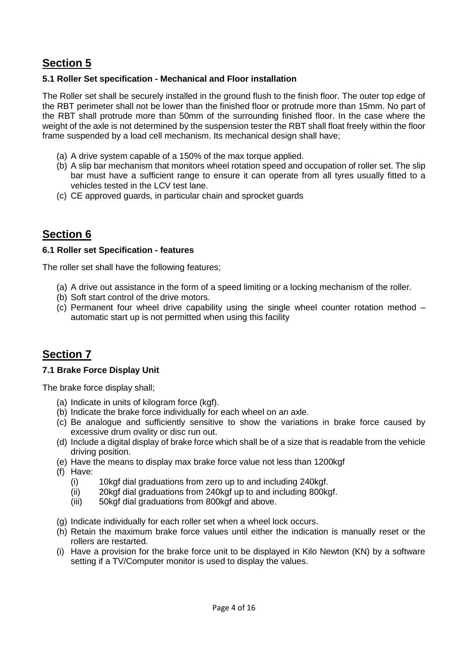## **5.1 Roller Set specification - Mechanical and Floor installation**

The Roller set shall be securely installed in the ground flush to the finish floor. The outer top edge of the RBT perimeter shall not be lower than the finished floor or protrude more than 15mm. No part of the RBT shall protrude more than 50mm of the surrounding finished floor. In the case where the weight of the axle is not determined by the suspension tester the RBT shall float freely within the floor frame suspended by a load cell mechanism. Its mechanical design shall have;

- (a) A drive system capable of a 150% of the max torque applied.
- (b) A slip bar mechanism that monitors wheel rotation speed and occupation of roller set. The slip bar must have a sufficient range to ensure it can operate from all tyres usually fitted to a vehicles tested in the LCV test lane.
- (c) CE approved guards, in particular chain and sprocket guards

## **Section 6**

#### **6.1 Roller set Specification - features**

The roller set shall have the following features;

- (a) A drive out assistance in the form of a speed limiting or a locking mechanism of the roller.
- (b) Soft start control of the drive motors.
- (c) Permanent four wheel drive capability using the single wheel counter rotation method automatic start up is not permitted when using this facility

## **Section 7**

### **7.1 Brake Force Display Unit**

The brake force display shall;

- (a) Indicate in units of kilogram force (kgf).
- (b) Indicate the brake force individually for each wheel on an axle.
- (c) Be analogue and sufficiently sensitive to show the variations in brake force caused by excessive drum ovality or disc run out.
- (d) Include a digital display of brake force which shall be of a size that is readable from the vehicle driving position.
- (e) Have the means to display max brake force value not less than 1200kgf
- (f) Have:
	- (i) 10kgf dial graduations from zero up to and including 240kgf.
	- (ii) 20kgf dial graduations from 240kgf up to and including 800kgf.
	- (iii) 50kgf dial graduations from 800kgf and above.
- (g) Indicate individually for each roller set when a wheel lock occurs.
- (h) Retain the maximum brake force values until either the indication is manually reset or the rollers are restarted.
- (i) Have a provision for the brake force unit to be displayed in Kilo Newton (KN) by a software setting if a TV/Computer monitor is used to display the values.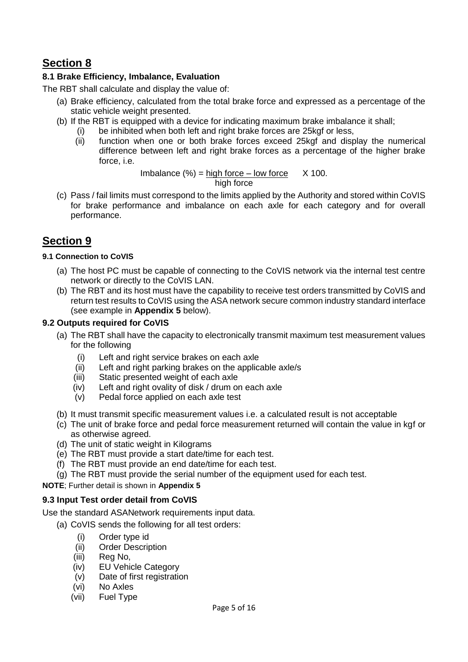## **8.1 Brake Efficiency, Imbalance, Evaluation**

The RBT shall calculate and display the value of:

- (a) Brake efficiency, calculated from the total brake force and expressed as a percentage of the static vehicle weight presented.
- (b) If the RBT is equipped with a device for indicating maximum brake imbalance it shall;
	- (i) be inhibited when both left and right brake forces are 25kgf or less,
		- (ii) function when one or both brake forces exceed 25kgf and display the numerical difference between left and right brake forces as a percentage of the higher brake force, i.e.

Imbalance  $(\%)$  = high force – low force  $X$  100. high force

(c) Pass / fail limits must correspond to the limits applied by the Authority and stored within CoVIS for brake performance and imbalance on each axle for each category and for overall performance.

## **Section 9**

#### **9.1 Connection to CoVIS**

- (a) The host PC must be capable of connecting to the CoVIS network via the internal test centre network or directly to the CoVIS LAN.
- (b) The RBT and its host must have the capability to receive test orders transmitted by CoVIS and return test results to CoVIS using the ASA network secure common industry standard interface (see example in **Appendix 5** below).

### **9.2 Outputs required for CoVIS**

- (a) The RBT shall have the capacity to electronically transmit maximum test measurement values for the following
	- (i) Left and right service brakes on each axle
	- (ii) Left and right parking brakes on the applicable axle/s
	- (iii) Static presented weight of each axle
	- (iv) Left and right ovality of disk / drum on each axle
	- (v) Pedal force applied on each axle test
- (b) It must transmit specific measurement values i.e. a calculated result is not acceptable
- (c) The unit of brake force and pedal force measurement returned will contain the value in kgf or as otherwise agreed.
- (d) The unit of static weight in Kilograms
- (e) The RBT must provide a start date/time for each test.
- (f) The RBT must provide an end date/time for each test.
- (g) The RBT must provide the serial number of the equipment used for each test.

**NOTE**; Further detail is shown in **Appendix 5**

### **9.3 Input Test order detail from CoVIS**

Use the standard ASANetwork requirements input data.

- (a) CoVIS sends the following for all test orders:
	- (i) Order type id
	- (ii) Order Description
	- (iii) Reg No,
	- (iv) EU Vehicle Category
	- (v) Date of first registration
	- (vi) No Axles
	- (vii) Fuel Type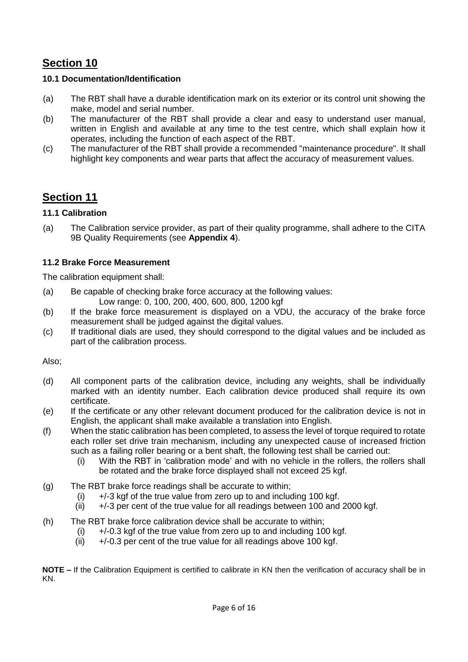### **10.1 Documentation/Identification**

- (a) The RBT shall have a durable identification mark on its exterior or its control unit showing the make, model and serial number.
- (b) The manufacturer of the RBT shall provide a clear and easy to understand user manual, written in English and available at any time to the test centre, which shall explain how it operates, including the function of each aspect of the RBT.
- (c) The manufacturer of the RBT shall provide a recommended "maintenance procedure". It shall highlight key components and wear parts that affect the accuracy of measurement values.

## **Section 11**

## **11.1 Calibration**

(a) The Calibration service provider, as part of their quality programme, shall adhere to the CITA 9B Quality Requirements (see **Appendix 4**).

## **11.2 Brake Force Measurement**

The calibration equipment shall:

- (a) Be capable of checking brake force accuracy at the following values: Low range: 0, 100, 200, 400, 600, 800, 1200 kgf
- (b) If the brake force measurement is displayed on a VDU, the accuracy of the brake force measurement shall be judged against the digital values.
- (c) If traditional dials are used, they should correspond to the digital values and be included as part of the calibration process.

Also;

- (d) All component parts of the calibration device, including any weights, shall be individually marked with an identity number. Each calibration device produced shall require its own certificate.
- (e) If the certificate or any other relevant document produced for the calibration device is not in English, the applicant shall make available a translation into English.
- (f) When the static calibration has been completed, to assess the level of torque required to rotate each roller set drive train mechanism, including any unexpected cause of increased friction such as a failing roller bearing or a bent shaft, the following test shall be carried out:
	- (i) With the RBT in 'calibration mode' and with no vehicle in the rollers, the rollers shall be rotated and the brake force displayed shall not exceed 25 kgf.
- (g) The RBT brake force readings shall be accurate to within;
	- (i)  $+/-3$  kgf of the true value from zero up to and including 100 kgf.
	- $(ii)$  +/-3 per cent of the true value for all readings between 100 and 2000 kgf.
- (h) The RBT brake force calibration device shall be accurate to within;
	- $(i)$  +/-0.3 kgf of the true value from zero up to and including 100 kgf.
	- (ii)  $+/-0.3$  per cent of the true value for all readings above 100 kgf.

**NOTE –** If the Calibration Equipment is certified to calibrate in KN then the verification of accuracy shall be in KN.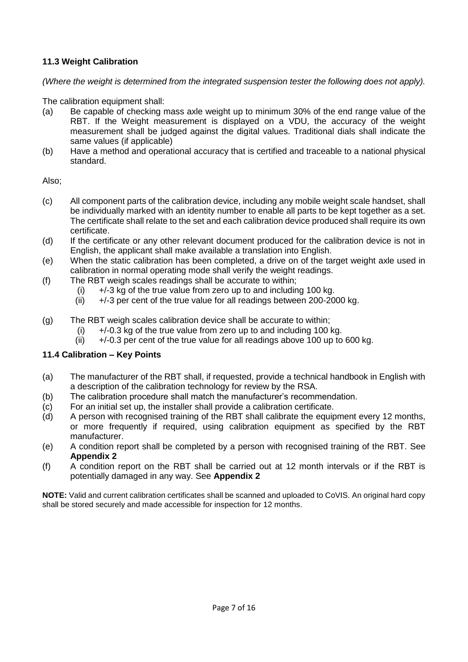## **11.3 Weight Calibration**

*(Where the weight is determined from the integrated suspension tester the following does not apply).* 

The calibration equipment shall:

- (a) Be capable of checking mass axle weight up to minimum 30% of the end range value of the RBT. If the Weight measurement is displayed on a VDU, the accuracy of the weight measurement shall be judged against the digital values. Traditional dials shall indicate the same values (if applicable)
- (b) Have a method and operational accuracy that is certified and traceable to a national physical standard.

Also;

- (c) All component parts of the calibration device, including any mobile weight scale handset, shall be individually marked with an identity number to enable all parts to be kept together as a set. The certificate shall relate to the set and each calibration device produced shall require its own certificate.
- (d) If the certificate or any other relevant document produced for the calibration device is not in English, the applicant shall make available a translation into English.
- (e) When the static calibration has been completed, a drive on of the target weight axle used in calibration in normal operating mode shall verify the weight readings.
- (f) The RBT weigh scales readings shall be accurate to within;
	- (i)  $+/-3$  kg of the true value from zero up to and including 100 kg.
	- (ii)  $+/-3$  per cent of the true value for all readings between 200-2000 kg.
- (g) The RBT weigh scales calibration device shall be accurate to within;
	- (i)  $+/-0.3$  kg of the true value from zero up to and including 100 kg.
	- $(ii)$  +/-0.3 per cent of the true value for all readings above 100 up to 600 kg.

#### **11.4 Calibration – Key Points**

- (a) The manufacturer of the RBT shall, if requested, provide a technical handbook in English with a description of the calibration technology for review by the RSA.
- (b) The calibration procedure shall match the manufacturer's recommendation.
- (c) For an initial set up, the installer shall provide a calibration certificate.
- (d) A person with recognised training of the RBT shall calibrate the equipment every 12 months, or more frequently if required, using calibration equipment as specified by the RBT manufacturer.
- (e) A condition report shall be completed by a person with recognised training of the RBT. See **Appendix 2**
- (f) A condition report on the RBT shall be carried out at 12 month intervals or if the RBT is potentially damaged in any way. See **Appendix 2**

**NOTE:** Valid and current calibration certificates shall be scanned and uploaded to CoVIS. An original hard copy shall be stored securely and made accessible for inspection for 12 months.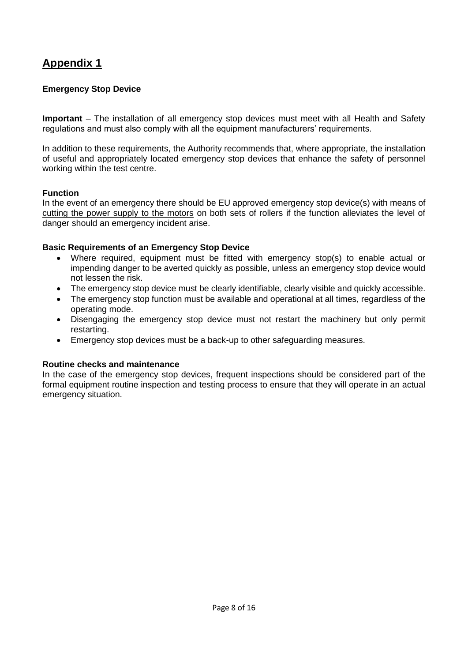## **Emergency Stop Device**

**Important** – The installation of all emergency stop devices must meet with all Health and Safety regulations and must also comply with all the equipment manufacturers' requirements.

In addition to these requirements, the Authority recommends that, where appropriate, the installation of useful and appropriately located emergency stop devices that enhance the safety of personnel working within the test centre.

#### **Function**

In the event of an emergency there should be EU approved emergency stop device(s) with means of cutting the power supply to the motors on both sets of rollers if the function alleviates the level of danger should an emergency incident arise.

#### **Basic Requirements of an Emergency Stop Device**

- Where required, equipment must be fitted with emergency stop(s) to enable actual or impending danger to be averted quickly as possible, unless an emergency stop device would not lessen the risk.
- The emergency stop device must be clearly identifiable, clearly visible and quickly accessible.
- The emergency stop function must be available and operational at all times, regardless of the operating mode.
- Disengaging the emergency stop device must not restart the machinery but only permit restarting.
- Emergency stop devices must be a back-up to other safeguarding measures.

#### **Routine checks and maintenance**

In the case of the emergency stop devices, frequent inspections should be considered part of the formal equipment routine inspection and testing process to ensure that they will operate in an actual emergency situation.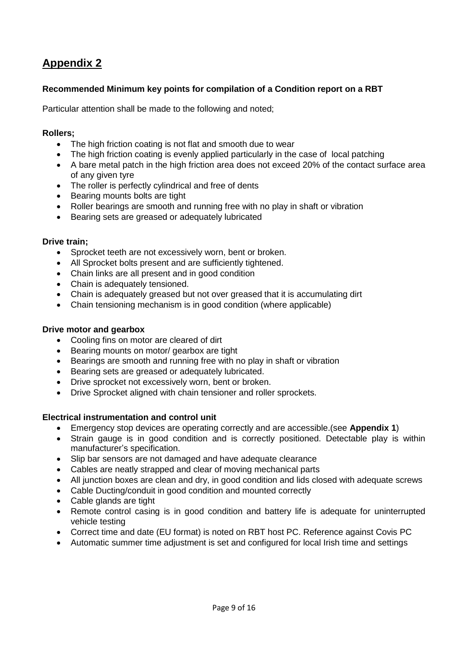### **Recommended Minimum key points for compilation of a Condition report on a RBT**

Particular attention shall be made to the following and noted;

#### **Rollers;**

- The high friction coating is not flat and smooth due to wear
- The high friction coating is evenly applied particularly in the case of local patching
- A bare metal patch in the high friction area does not exceed 20% of the contact surface area of any given tyre
- The roller is perfectly cylindrical and free of dents
- Bearing mounts bolts are tight
- Roller bearings are smooth and running free with no play in shaft or vibration
- Bearing sets are greased or adequately lubricated

#### **Drive train;**

- Sprocket teeth are not excessively worn, bent or broken.
- All Sprocket bolts present and are sufficiently tightened.
- Chain links are all present and in good condition
- Chain is adequately tensioned.
- Chain is adequately greased but not over greased that it is accumulating dirt
- Chain tensioning mechanism is in good condition (where applicable)

#### **Drive motor and gearbox**

- Cooling fins on motor are cleared of dirt
- Bearing mounts on motor/ gearbox are tight
- Bearings are smooth and running free with no play in shaft or vibration
- Bearing sets are greased or adequately lubricated.
- Drive sprocket not excessively worn, bent or broken.
- Drive Sprocket aligned with chain tensioner and roller sprockets.

#### **Electrical instrumentation and control unit**

- Emergency stop devices are operating correctly and are accessible.(see **Appendix 1**)
- Strain gauge is in good condition and is correctly positioned. Detectable play is within manufacturer's specification.
- Slip bar sensors are not damaged and have adequate clearance
- Cables are neatly strapped and clear of moving mechanical parts
- All junction boxes are clean and dry, in good condition and lids closed with adequate screws
- Cable Ducting/conduit in good condition and mounted correctly
- Cable glands are tight
- Remote control casing is in good condition and battery life is adequate for uninterrupted vehicle testing
- Correct time and date (EU format) is noted on RBT host PC. Reference against Covis PC
- Automatic summer time adjustment is set and configured for local Irish time and settings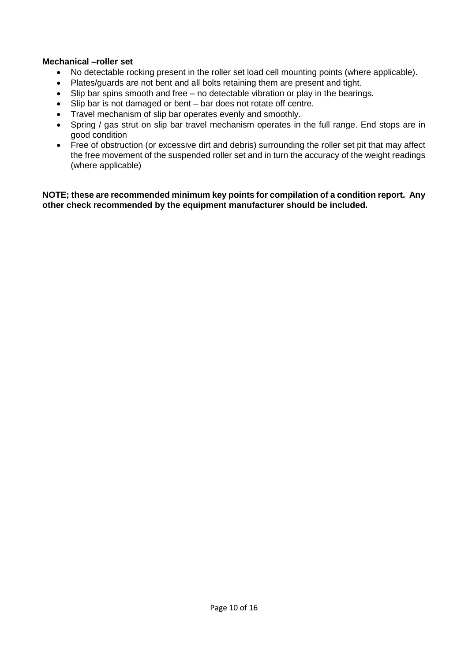#### **Mechanical –roller set**

- No detectable rocking present in the roller set load cell mounting points (where applicable).
- Plates/guards are not bent and all bolts retaining them are present and tight.
- Slip bar spins smooth and free no detectable vibration or play in the bearings.
- Slip bar is not damaged or bent bar does not rotate off centre.
- Travel mechanism of slip bar operates evenly and smoothly.
- Spring / gas strut on slip bar travel mechanism operates in the full range. End stops are in good condition
- Free of obstruction (or excessive dirt and debris) surrounding the roller set pit that may affect the free movement of the suspended roller set and in turn the accuracy of the weight readings (where applicable)

**NOTE; these are recommended minimum key points for compilation of a condition report. Any other check recommended by the equipment manufacturer should be included.**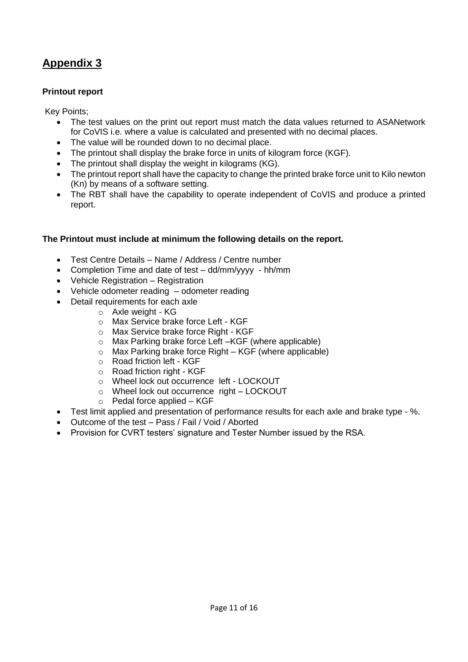### **Printout report**

Key Points;

- The test values on the print out report must match the data values returned to ASANetwork for CoVIS i.e. where a value is calculated and presented with no decimal places.
- The value will be rounded down to no decimal place.
- The printout shall display the brake force in units of kilogram force (KGF).
- The printout shall display the weight in kilograms (KG).
- The printout report shall have the capacity to change the printed brake force unit to Kilo newton (Kn) by means of a software setting.
- The RBT shall have the capability to operate independent of CoVIS and produce a printed report.

### **The Printout must include at minimum the following details on the report.**

- Test Centre Details Name / Address / Centre number
- Completion Time and date of test dd/mm/yyyy hh/mm
- Vehicle Registration Registration
- Vehicle odometer reading odometer reading
- Detail requirements for each axle
	- o Axle weight KG
		- o Max Service brake force Left KGF
		- o Max Service brake force Right KGF
	- o Max Parking brake force Left –KGF (where applicable)
	- $\circ$  Max Parking brake force Right KGF (where applicable)
	- o Road friction left KGF
	- o Road friction right KGF
	- o Wheel lock out occurrence left LOCKOUT
	- o Wheel lock out occurrence right LOCKOUT
	- o Pedal force applied KGF
- Test limit applied and presentation of performance results for each axle and brake type %.
- Outcome of the test Pass / Fail / Void / Aborted
- Provision for CVRT testers' signature and Tester Number issued by the RSA.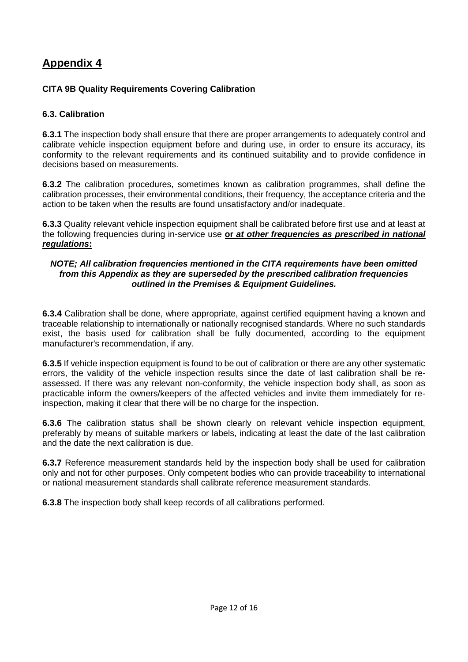## **CITA 9B Quality Requirements Covering Calibration**

### **6.3. Calibration**

**6.3.1** The inspection body shall ensure that there are proper arrangements to adequately control and calibrate vehicle inspection equipment before and during use, in order to ensure its accuracy, its conformity to the relevant requirements and its continued suitability and to provide confidence in decisions based on measurements.

**6.3.2** The calibration procedures, sometimes known as calibration programmes, shall define the calibration processes, their environmental conditions, their frequency, the acceptance criteria and the action to be taken when the results are found unsatisfactory and/or inadequate.

**6.3.3** Quality relevant vehicle inspection equipment shall be calibrated before first use and at least at the following frequencies during in-service use **or** *at other frequencies as prescribed in national regulations***:**

#### *NOTE; All calibration frequencies mentioned in the CITA requirements have been omitted from this Appendix as they are superseded by the prescribed calibration frequencies outlined in the Premises & Equipment Guidelines.*

**6.3.4** Calibration shall be done, where appropriate, against certified equipment having a known and traceable relationship to internationally or nationally recognised standards. Where no such standards exist, the basis used for calibration shall be fully documented, according to the equipment manufacturer's recommendation, if any.

**6.3.5** If vehicle inspection equipment is found to be out of calibration or there are any other systematic errors, the validity of the vehicle inspection results since the date of last calibration shall be reassessed. If there was any relevant non-conformity, the vehicle inspection body shall, as soon as practicable inform the owners/keepers of the affected vehicles and invite them immediately for reinspection, making it clear that there will be no charge for the inspection.

**6.3.6** The calibration status shall be shown clearly on relevant vehicle inspection equipment, preferably by means of suitable markers or labels, indicating at least the date of the last calibration and the date the next calibration is due.

**6.3.7** Reference measurement standards held by the inspection body shall be used for calibration only and not for other purposes. Only competent bodies who can provide traceability to international or national measurement standards shall calibrate reference measurement standards.

**6.3.8** The inspection body shall keep records of all calibrations performed.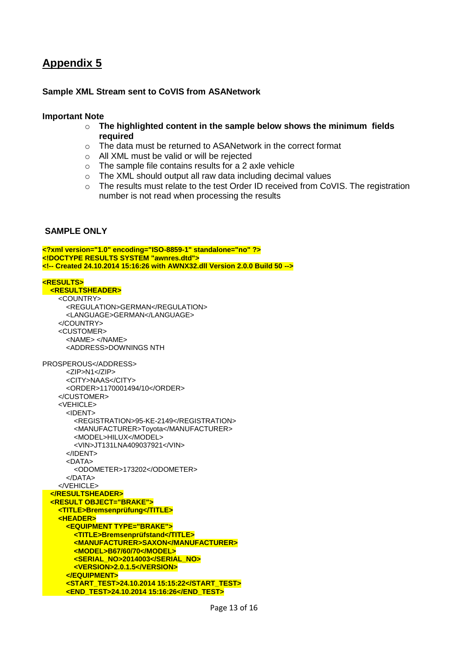#### **Sample XML Stream sent to CoVIS from ASANetwork**

#### **Important Note**

- o **The highlighted content in the sample below shows the minimum fields required**
- o The data must be returned to ASANetwork in the correct format
- o All XML must be valid or will be rejected
- $\circ$  The sample file contains results for a 2 axle vehicle
- o The XML should output all raw data including decimal values
- o The results must relate to the test Order ID received from CoVIS. The registration number is not read when processing the results

#### **SAMPLE ONLY**

```
<?xml version="1.0" encoding="ISO-8859-1" standalone="no" ?>
<!DOCTYPE RESULTS SYSTEM "awnres.dtd">
<!-- Created 24.10.2014 15:16:26 with AWNX32.dll Version 2.0.0 Build 50 -->
<RESULTS>
  <RESULTSHEADER>
    <COUNTRY>
      <REGULATION>GERMAN</REGULATION>
      <LANGUAGE>GERMAN</LANGUAGE>
     </COUNTRY>
     <CUSTOMER>
       <NAME> </NAME>
      <ADDRESS>DOWNINGS NTH
PROSPEROUS</ADDRESS>
      <ZIP>N1</ZIP>
      <CITY>NAAS</CITY>
       <ORDER>1170001494/10</ORDER>
     </CUSTOMER>
     <VEHICLE>
      <IDENT>
         <REGISTRATION>95-KE-2149</REGISTRATION>
        <MANUFACTURER>Toyota</MANUFACTURER>
        <MODEL>HILUX</MODEL>
         <VIN>JT131LNA409037921</VIN>
       </IDENT>
       <DATA>
         <ODOMETER>173202</ODOMETER>
      </DATA>
    </VEHICLE>
  </RESULTSHEADER>
  <RESULT OBJECT="BRAKE">
    <TITLE>Bremsenprüfung</TITLE>
     <HEADER>
      <EQUIPMENT TYPE="BRAKE">
        <TITLE>Bremsenprüfstand</TITLE>
        <MANUFACTURER>SAXON</MANUFACTURER>
        <MODEL>B67/60/70</MODEL>
        <SERIAL_NO>2014003</SERIAL_NO>
        <VERSION>2.0.1.5</VERSION>
      </EQUIPMENT>
      <START_TEST>24.10.2014 15:15:22</START_TEST>
      <END_TEST>24.10.2014 15:16:26</END_TEST>
```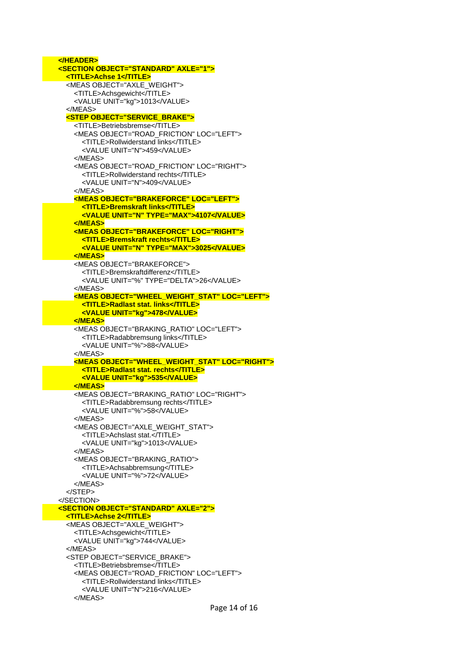Page 14 of 16  **</HEADER> <SECTION OBJECT="STANDARD" AXLE="1"> <TITLE>Achse 1</TITLE>** <MEAS OBJECT="AXLE\_WEIGHT"> <TITLE>Achsgewicht</TITLE> <VALUE UNIT="kg">1013</VALUE> </MEAS> **<STEP OBJECT="SERVICE\_BRAKE">** <TITLE>Betriebsbremse</TITLE> <MEAS OBJECT="ROAD\_FRICTION" LOC="LEFT"> <TITLE>Rollwiderstand links</TITLE> <VALUE UNIT="N">459</VALUE> </MEAS> <MEAS OBJECT="ROAD\_FRICTION" LOC="RIGHT"> <TITLE>Rollwiderstand rechts</TITLE> <VALUE UNIT="N">409</VALUE> </MEAS> **<MEAS OBJECT="BRAKEFORCE" LOC="LEFT"> <TITLE>Bremskraft links</TITLE> <VALUE UNIT="N" TYPE="MAX">4107</VALUE> </MEAS> <MEAS OBJECT="BRAKEFORCE" LOC="RIGHT"> <TITLE>Bremskraft rechts</TITLE> <VALUE UNIT="N" TYPE="MAX">3025</VALUE> </MEAS>** <MEAS OBJECT="BRAKEFORCE"> <TITLE>Bremskraftdifferenz</TITLE> <VALUE UNIT="%" TYPE="DELTA">26</VALUE> </MEAS> **<MEAS OBJECT="WHEEL\_WEIGHT\_STAT" LOC="LEFT"> <TITLE>Radlast stat. links</TITLE> <VALUE UNIT="kg">478</VALUE> </MEAS>** <MEAS OBJECT="BRAKING\_RATIO" LOC="LEFT"> <TITLE>Radabbremsung links</TITLE> <VALUE UNIT="%">88</VALUE> </MEAS> **<MEAS OBJECT="WHEEL\_WEIGHT\_STAT" LOC="RIGHT"> <TITLE>Radlast stat. rechts</TITLE> <VALUE UNIT="kg">535</VALUE> </MEAS>** <MEAS OBJECT="BRAKING\_RATIO" LOC="RIGHT"> <TITLE>Radabbremsung rechts</TITLE> <VALUE UNIT="%">58</VALUE> </MEAS> <MEAS OBJECT="AXLE\_WEIGHT\_STAT"> <TITLE>Achslast stat.</TITLE> <VALUE UNIT="kg">1013</VALUE> </MEAS> <MEAS OBJECT="BRAKING\_RATIO"> <TITLE>Achsabbremsung</TITLE> <VALUE UNIT="%">72</VALUE> </MEAS> </STEP> </SECTION>  **<SECTION OBJECT="STANDARD" AXLE="2"> <TITLE>Achse 2</TITLE>** <MEAS OBJECT="AXLE\_WEIGHT"> <TITLE>Achsgewicht</TITLE> <VALUE UNIT="kg">744</VALUE> </MEAS> <STEP OBJECT="SERVICE\_BRAKE"> <TITLE>Betriebsbremse</TITLE> <MEAS OBJECT="ROAD\_FRICTION" LOC="LEFT"> <TITLE>Rollwiderstand links</TITLE> <VALUE UNIT="N">216</VALUE> </MEAS>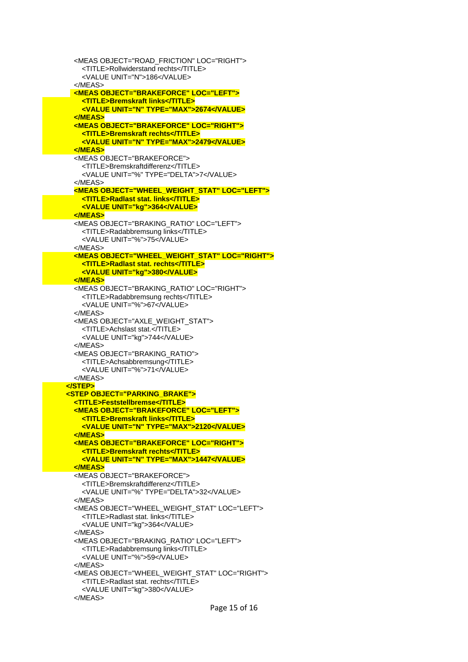<MEAS OBJECT="ROAD\_FRICTION" LOC="RIGHT"> <TITLE>Rollwiderstand rechts</TITLE> <VALUE UNIT="N">186</VALUE> </MEAS> **<MEAS OBJECT="BRAKEFORCE" LOC="LEFT"> <TITLE>Bremskraft links</TITLE> <VALUE UNIT="N" TYPE="MAX">2674</VALUE> </MEAS> <MEAS OBJECT="BRAKEFORCE" LOC="RIGHT"> <TITLE>Bremskraft rechts</TITLE> <VALUE UNIT="N" TYPE="MAX">2479</VALUE> </MEAS>** <MEAS OBJECT="BRAKEFORCE"> <TITLE>Bremskraftdifferenz</TITLE> <VALUE UNIT="%" TYPE="DELTA">7</VALUE> </MEAS> **<MEAS OBJECT="WHEEL\_WEIGHT\_STAT" LOC="LEFT"> <TITLE>Radlast stat. links</TITLE> <VALUE UNIT="kg">364</VALUE> </MEAS>** <MEAS OBJECT="BRAKING\_RATIO" LOC="LEFT"> <TITLE>Radabbremsung links</TITLE> <VALUE UNIT="%">75</VALUE>  $\angle$ /MFAS  **<MEAS OBJECT="WHEEL\_WEIGHT\_STAT" LOC="RIGHT"> <TITLE>Radlast stat. rechts</TITLE> <VALUE UNIT="kg">380</VALUE> </MEAS>** <MEAS OBJECT="BRAKING\_RATIO" LOC="RIGHT"> <TITLE>Radabbremsung rechts</TITLE> <VALUE UNIT="%">67</VALUE> </MEAS> <MEAS OBJECT="AXLE\_WEIGHT\_STAT"> <TITLE>Achslast stat.</TITLE> <VALUE UNIT="kg">744</VALUE> </MEAS> <MEAS OBJECT="BRAKING\_RATIO"> <TITLE>Achsabbremsung</TITLE> <VALUE UNIT="%">71</VALUE> </MEAS>  **</STEP> <STEP OBJECT="PARKING\_BRAKE"> <TITLE>Feststellbremse</TITLE> <MEAS OBJECT="BRAKEFORCE" LOC="LEFT"> <TITLE>Bremskraft links</TITLE> <VALUE UNIT="N" TYPE="MAX">2120</VALUE> </MEAS> <MEAS OBJECT="BRAKEFORCE" LOC="RIGHT"> <TITLE>Bremskraft rechts</TITLE> <VALUE UNIT="N" TYPE="MAX">1447</VALUE> </MEAS>** <MEAS OBJECT="BRAKEFORCE"> <TITLE>Bremskraftdifferenz</TITLE> <VALUE UNIT="%" TYPE="DELTA">32</VALUE> </MEAS> <MEAS OBJECT="WHEEL\_WEIGHT\_STAT" LOC="LEFT"> <TITLE>Radlast stat. links</TITLE> <VALUE UNIT="kg">364</VALUE> </MEAS> <MEAS OBJECT="BRAKING\_RATIO" LOC="LEFT"> <TITLE>Radabbremsung links</TITLE> <VALUE UNIT="%">59</VALUE> </MEAS> <MEAS OBJECT="WHEEL\_WEIGHT\_STAT" LOC="RIGHT"> <TITLE>Radlast stat. rechts</TITLE> <VALUE UNIT="kg">380</VALUE> </MEAS>